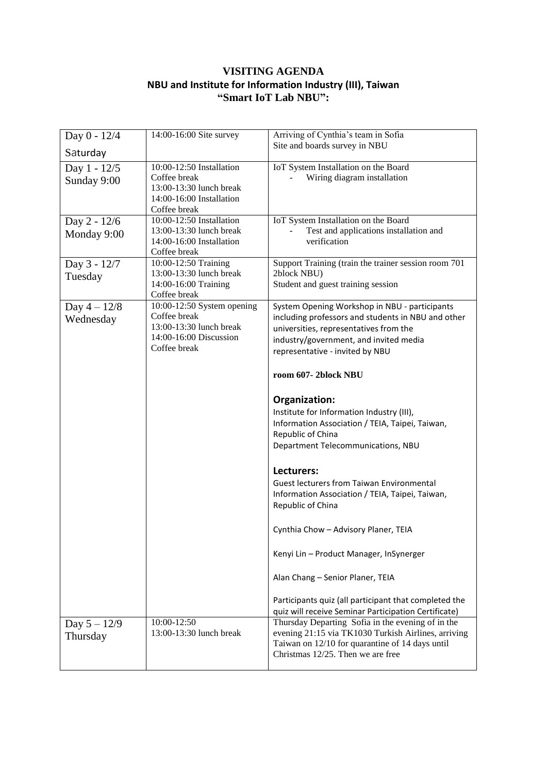## **VISITING AGENDA NBU and Institute for Information Industry (III), Taiwan "Smart IoT Lab NBU":**

| Day 0 - 12/4                | 14:00-16:00 Site survey                                                                                         | Arriving of Cynthia's team in Sofia                                                                                                                                                                                                                                                                                                                                                                                                                                                                                                                                                                                                                                                                                                                                                                             |
|-----------------------------|-----------------------------------------------------------------------------------------------------------------|-----------------------------------------------------------------------------------------------------------------------------------------------------------------------------------------------------------------------------------------------------------------------------------------------------------------------------------------------------------------------------------------------------------------------------------------------------------------------------------------------------------------------------------------------------------------------------------------------------------------------------------------------------------------------------------------------------------------------------------------------------------------------------------------------------------------|
| Saturday                    |                                                                                                                 | Site and boards survey in NBU                                                                                                                                                                                                                                                                                                                                                                                                                                                                                                                                                                                                                                                                                                                                                                                   |
| Day 1 - 12/5<br>Sunday 9:00 | 10:00-12:50 Installation<br>Coffee break<br>13:00-13:30 lunch break<br>14:00-16:00 Installation<br>Coffee break | IoT System Installation on the Board<br>Wiring diagram installation                                                                                                                                                                                                                                                                                                                                                                                                                                                                                                                                                                                                                                                                                                                                             |
| Day 2 - 12/6<br>Monday 9:00 | 10:00-12:50 Installation<br>13:00-13:30 lunch break<br>14:00-16:00 Installation<br>Coffee break                 | IoT System Installation on the Board<br>Test and applications installation and<br>verification                                                                                                                                                                                                                                                                                                                                                                                                                                                                                                                                                                                                                                                                                                                  |
| Day 3 - 12/7<br>Tuesday     | 10:00-12:50 Training<br>13:00-13:30 lunch break<br>14:00-16:00 Training<br>Coffee break                         | Support Training (train the trainer session room 701<br>2block NBU)<br>Student and guest training session                                                                                                                                                                                                                                                                                                                                                                                                                                                                                                                                                                                                                                                                                                       |
| Day $4 - 12/8$<br>Wednesday | 10:00-12:50 System opening<br>Coffee break<br>13:00-13:30 lunch break<br>14:00-16:00 Discussion<br>Coffee break | System Opening Workshop in NBU - participants<br>including professors and students in NBU and other<br>universities, representatives from the<br>industry/government, and invited media<br>representative - invited by NBU<br>room 607-2block NBU<br>Organization:<br>Institute for Information Industry (III),<br>Information Association / TEIA, Taipei, Taiwan,<br>Republic of China<br>Department Telecommunications, NBU<br>Lecturers:<br><b>Guest lecturers from Taiwan Environmental</b><br>Information Association / TEIA, Taipei, Taiwan,<br>Republic of China<br>Cynthia Chow - Advisory Planer, TEIA<br>Kenyi Lin - Product Manager, InSynerger<br>Alan Chang - Senior Planer, TEIA<br>Participants quiz (all participant that completed the<br>quiz will receive Seminar Participation Certificate) |
| Day $5 - 12/9$<br>Thursday  | 10:00-12:50<br>13:00-13:30 lunch break                                                                          | Thursday Departing Sofia in the evening of in the<br>evening 21:15 via TK1030 Turkish Airlines, arriving<br>Taiwan on 12/10 for quarantine of 14 days until<br>Christmas 12/25. Then we are free                                                                                                                                                                                                                                                                                                                                                                                                                                                                                                                                                                                                                |